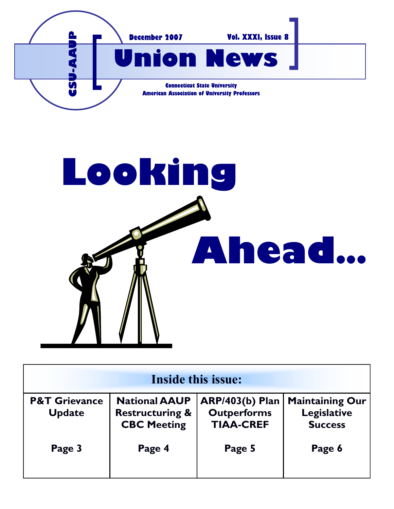



| <b>Inside this issue:</b>                 |                                                                          |                                                                  |                                                                |
|-------------------------------------------|--------------------------------------------------------------------------|------------------------------------------------------------------|----------------------------------------------------------------|
| <b>P&amp;T Grievance</b><br><b>Update</b> | <b>National AAUP</b><br><b>Restructuring &amp;</b><br><b>CBC Meeting</b> | <b>ARP/403(b) Plan</b><br><b>Outperforms</b><br><b>TIAA-CREF</b> | <b>Maintaining Our</b><br><b>Legislative</b><br><b>Success</b> |
| Page 3                                    | Page 4                                                                   | Page 5                                                           | Page 6                                                         |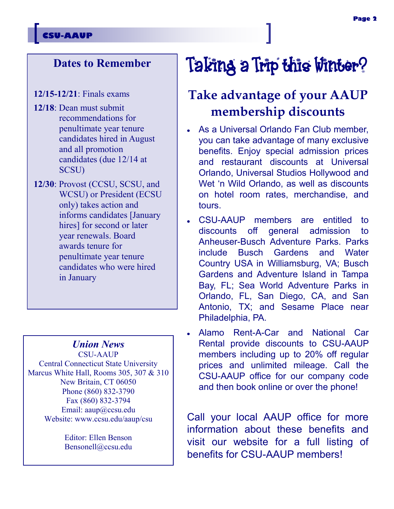### **CSU-AAUP**

### **Dates to Remember**

- **12/15-12/21**: Finals exams
- **12/18**: Dean must submit recommendations for penultimate year tenure candidates hired in August and all promotion candidates (due 12/14 at SCSU)
- **12/30**: Provost (CCSU, SCSU, and WCSU) or President (ECSU only) takes action and informs candidates [January hires] for second or later year renewals. Board awards tenure for penultimate year tenure candidates who were hired in January

### *Union News*

CSU-AAUP Central Connecticut State University Marcus White Hall, Rooms 305, 307 & 310 New Britain, CT 06050 Phone (860) 832-3790 Fax (860) 832-3794 Email: aaup@ccsu.edu Website: www.ccsu.edu/aaup/csu

> Editor: Ellen Benson Bensonell@ccsu.edu

# Taking a Trip this Winter?

# **Take advantage of your AAUP membership discounts**

- As a Universal Orlando Fan Club member, you can take advantage of many exclusive benefits. Enjoy special admission prices and restaurant discounts at Universal Orlando, Universal Studios Hollywood and Wet 'n Wild Orlando, as well as discounts on hotel room rates, merchandise, and tours.
- CSU-AAUP members are entitled to discounts off general admission to Anheuser-Busch Adventure Parks. Parks include Busch Gardens and Water Country USA in Williamsburg, VA; Busch Gardens and Adventure Island in Tampa Bay, FL; Sea World Adventure Parks in Orlando, FL, San Diego, CA, and San Antonio, TX; and Sesame Place near Philadelphia, PA.
- Alamo Rent-A-Car and National Car Rental provide discounts to CSU-AAUP members including up to 20% off regular prices and unlimited mileage. Call the CSU-AAUP office for our company code and then book online or over the phone!

Call your local AAUP office for more information about these benefits and visit our website for a full listing of benefits for CSU-AAUP members!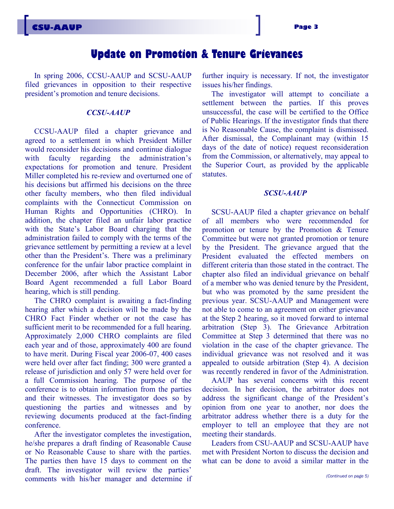### **Update on Promotion & Tenure Grievances**

In spring 2006, CCSU-AAUP and SCSU-AAUP filed grievances in opposition to their respective president's promotion and tenure decisions.

#### *CCSU-AAUP*

CCSU-AAUP filed a chapter grievance and agreed to a settlement in which President Miller would reconsider his decisions and continue dialogue with faculty regarding the administration's expectations for promotion and tenure. President Miller completed his re-review and overturned one of his decisions but affirmed his decisions on the three other faculty members, who then filed individual complaints with the Connecticut Commission on Human Rights and Opportunities (CHRO). In addition, the chapter filed an unfair labor practice with the State's Labor Board charging that the administration failed to comply with the terms of the grievance settlement by permitting a review at a level other than the President's. There was a preliminary conference for the unfair labor practice complaint in December 2006, after which the Assistant Labor Board Agent recommended a full Labor Board hearing, which is still pending.

The CHRO complaint is awaiting a fact-finding hearing after which a decision will be made by the CHRO Fact Finder whether or not the case has sufficient merit to be recommended for a full hearing. Approximately 2,000 CHRO complaints are filed each year and of those, approximately 400 are found to have merit. During Fiscal year 2006-07, 400 cases were held over after fact finding; 300 were granted a release of jurisdiction and only 57 were held over for a full Commission hearing. The purpose of the conference is to obtain information from the parties and their witnesses. The investigator does so by questioning the parties and witnesses and by reviewing documents produced at the fact-finding conference.

After the investigator completes the investigation, he/she prepares a draft finding of Reasonable Cause or No Reasonable Cause to share with the parties. The parties then have 15 days to comment on the draft. The investigator will review the parties' comments with his/her manager and determine if further inquiry is necessary. If not, the investigator issues his/her findings.

The investigator will attempt to conciliate a settlement between the parties. If this proves unsuccessful, the case will be certified to the Office of Public Hearings. If the investigator finds that there is No Reasonable Cause, the complaint is dismissed. After dismissal, the Complainant may (within 15 days of the date of notice) request reconsideration from the Commission, or alternatively, may appeal to the Superior Court, as provided by the applicable statutes.

#### *SCSU-AAUP*

SCSU-AAUP filed a chapter grievance on behalf of all members who were recommended for promotion or tenure by the Promotion & Tenure Committee but were not granted promotion or tenure by the President. The grievance argued that the President evaluated the effected members on different criteria than those stated in the contract. The chapter also filed an individual grievance on behalf of a member who was denied tenure by the President, but who was promoted by the same president the previous year. SCSU-AAUP and Management were not able to come to an agreement on either grievance at the Step 2 hearing, so it moved forward to internal arbitration (Step 3). The Grievance Arbitration Committee at Step 3 determined that there was no violation in the case of the chapter grievance. The individual grievance was not resolved and it was appealed to outside arbitration (Step 4). A decision was recently rendered in favor of the Administration.

AAUP has several concerns with this recent decision. In her decision, the arbitrator does not address the significant change of the President's opinion from one year to another, nor does the arbitrator address whether there is a duty for the employer to tell an employee that they are not meeting their standards.

Leaders from CSU-AAUP and SCSU-AAUP have met with President Norton to discuss the decision and what can be done to avoid a similar matter in the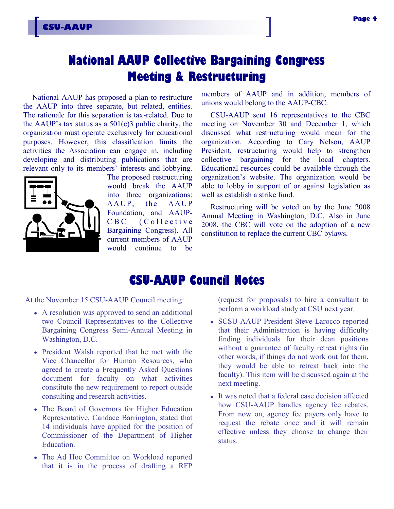# **National AAUP Collective Bargaining Congress Meeting & Restructuring**

National AAUP has proposed a plan to restructure the AAUP into three separate, but related, entities. The rationale for this separation is tax-related. Due to the AAUP's tax status as a  $501(c)3$  public charity, the organization must operate exclusively for educational purposes. However, this classification limits the activities the Association can engage in, including developing and distributing publications that are relevant only to its members' interests and lobbying.



The proposed restructuring would break the AAUP into three organizations: AAUP, the AAUP Foundation, and AAUP-C B C ( C o l l e c t i v e Bargaining Congress). All current members of AAUP would continue to be members of AAUP and in addition, members of unions would belong to the AAUP-CBC.

CSU-AAUP sent 16 representatives to the CBC meeting on November 30 and December 1, which discussed what restructuring would mean for the organization. According to Cary Nelson, AAUP President, restructuring would help to strengthen collective bargaining for the local chapters. Educational resources could be available through the organization's website. The organization would be able to lobby in support of or against legislation as well as establish a strike fund.

Restructuring will be voted on by the June 2008 Annual Meeting in Washington, D.C. Also in June 2008, the CBC will vote on the adoption of a new constitution to replace the current CBC bylaws.

### **CSU-AAUP Council Notes**

At the November 15 CSU-AAUP Council meeting:

- A resolution was approved to send an additional two Council Representatives to the Collective Bargaining Congress Semi-Annual Meeting in Washington, D.C.
- President Walsh reported that he met with the Vice Chancellor for Human Resources, who agreed to create a Frequently Asked Questions document for faculty on what activities constitute the new requirement to report outside consulting and research activities.
- The Board of Governors for Higher Education Representative, Candace Barrington, stated that 14 individuals have applied for the position of Commissioner of the Department of Higher Education.
- The Ad Hoc Committee on Workload reported that it is in the process of drafting a RFP

(request for proposals) to hire a consultant to perform a workload study at CSU next year.

- SCSU-AAUP President Steve Larocco reported that their Administration is having difficulty finding individuals for their dean positions without a guarantee of faculty retreat rights (in other words, if things do not work out for them, they would be able to retreat back into the faculty). This item will be discussed again at the next meeting.
- It was noted that a federal case decision affected how CSU-AAUP handles agency fee rebates. From now on, agency fee payers only have to request the rebate once and it will remain effective unless they choose to change their status.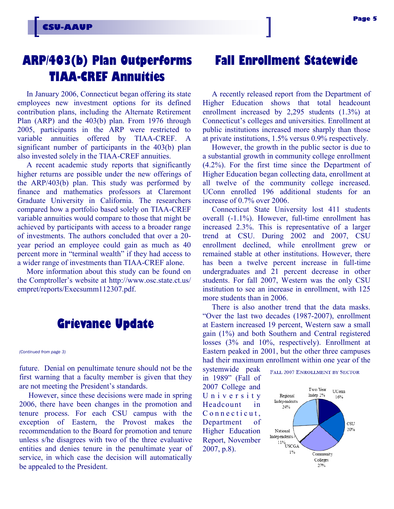# **ARP/403(b) Plan Outperforms TIAA-CREF Annuities**

In January 2006, Connecticut began offering its state employees new investment options for its defined contribution plans, including the Alternate Retirement Plan (ARP) and the 403(b) plan. From 1976 through 2005, participants in the ARP were restricted to variable annuities offered by TIAA-CREF. A significant number of participants in the 403(b) plan also invested solely in the TIAA-CREF annuities.

A recent academic study reports that significantly higher returns are possible under the new offerings of the ARP/403(b) plan. This study was performed by finance and mathematics professors at Claremont Graduate University in California. The researchers compared how a portfolio based solely on TIAA-CREF variable annuities would compare to those that might be achieved by participants with access to a broader range of investments. The authors concluded that over a 20 year period an employee could gain as much as 40 percent more in "terminal wealth" if they had access to a wider range of investments than TIAA-CREF alone.

More information about this study can be found on the Comptroller's website at http://www.osc.state.ct.us/ empret/reports/Execsumm112307.pdf.

### **Grievance Update**

*(Continued from page 3)*

future. Denial on penultimate tenure should not be the first warning that a faculty member is given that they are not meeting the President's standards.

However, since these decisions were made in spring 2006, there have been changes in the promotion and tenure process. For each CSU campus with the exception of Eastern, the Provost makes the recommendation to the Board for promotion and tenure unless s/he disagrees with two of the three evaluative entities and denies tenure in the penultimate year of service, in which case the decision will automatically be appealed to the President.

# **Fall Enrollment Statewide**

A recently released report from the Department of Higher Education shows that total headcount enrollment increased by 2,295 students (1.3%) at Connecticut's colleges and universities. Enrollment at public institutions increased more sharply than those at private institutions, 1.5% versus 0.9% respectively.

However, the growth in the public sector is due to a substantial growth in community college enrollment (4.2%). For the first time since the Department of Higher Education began collecting data, enrollment at all twelve of the community college increased. UConn enrolled 196 additional students for an increase of 0.7% over 2006.

Connecticut State University lost 411 students overall (-1.1%). However, full-time enrollment has increased 2.3%. This is representative of a larger trend at CSU. During 2002 and 2007, CSU enrollment declined, while enrollment grew or remained stable at other institutions. However, there has been a twelve percent increase in full-time undergraduates and 21 percent decrease in other students. For fall 2007, Western was the only CSU institution to see an increase in enrollment, with 125 more students than in 2006.

There is also another trend that the data masks. "Over the last two decades (1987-2007), enrollment at Eastern increased 19 percent, Western saw a small gain (1%) and both Southern and Central registered losses (3% and 10%, respectively). Enrollment at Eastern peaked in 2001, but the other three campuses had their maximum enrollment within one year of the

systemwide peak in 1989" (Fall of 2007 College and U n i v e r s i t y Headcount in Connecticut. Department of Higher Education Report, November 2007, p.8).